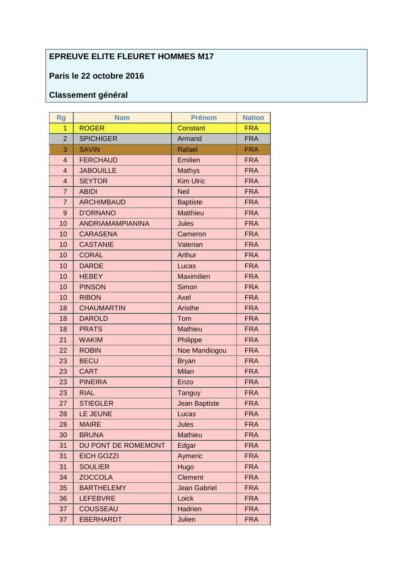## **EPREUVE ELITE FLEURET HOMMES M17**

## **Paris le 22 octobre 2016**

## **Classement général**

| <b>Rg</b>      | <b>Nom</b>              | <b>Prénom</b>        | <b>Nation</b> |
|----------------|-------------------------|----------------------|---------------|
| $\overline{1}$ | <b>ROGER</b>            | <b>Constant</b>      | <b>FRA</b>    |
| $\overline{2}$ | <b>SPICHIGER</b>        | Armand               | <b>FRA</b>    |
| 3              | <b>SAVIN</b>            | <b>Rafael</b>        | <b>FRA</b>    |
| $\overline{4}$ | <b>FERCHAUD</b>         | Emilien              | <b>FRA</b>    |
| $\overline{4}$ | <b>JABOUILLE</b>        | <b>Mathys</b>        | <b>FRA</b>    |
| $\overline{4}$ | <b>SEYTOR</b>           | <b>Kim Ulric</b>     | <b>FRA</b>    |
| $\overline{7}$ | <b>ABIDI</b>            | <b>Neil</b>          | <b>FRA</b>    |
| $\overline{7}$ | <b>ARCHIMBAUD</b>       | <b>Baptiste</b>      | <b>FRA</b>    |
| $\overline{9}$ | <b>D'ORNANO</b>         | <b>Matthieu</b>      | <b>FRA</b>    |
| 10             | <b>ANDRIAMAMPIANINA</b> | <b>Jules</b>         | <b>FRA</b>    |
| 10             | <b>CARASENA</b>         | Cameron              | <b>FRA</b>    |
| 10             | <b>CASTANIE</b>         | Valerian             | <b>FRA</b>    |
| 10             | <b>CORAL</b>            | Arthur               | <b>FRA</b>    |
| 10             | <b>DARDE</b>            | Lucas                | <b>FRA</b>    |
| 10             | <b>HEBEY</b>            | <b>Maximilien</b>    | <b>FRA</b>    |
| 10             | <b>PINSON</b>           | Simon                | <b>FRA</b>    |
| 10             | <b>RIBON</b>            | Axel                 | <b>FRA</b>    |
| 18             | <b>CHAUMARTIN</b>       | Aristhe              | <b>FRA</b>    |
| 18             | <b>DAROLD</b>           | Tom                  | <b>FRA</b>    |
| 18             | <b>PRATS</b>            | <b>Mathieu</b>       | <b>FRA</b>    |
| 21             | <b>WAKIM</b>            | Philippe             | <b>FRA</b>    |
| 22             | <b>ROBIN</b>            | Noe Mandiogou        | <b>FRA</b>    |
| 23             | <b>BECU</b>             | <b>Bryan</b>         | <b>FRA</b>    |
| 23             | <b>CART</b>             | Milan                | <b>FRA</b>    |
| 23             | <b>PINEIRA</b>          | Enzo                 | <b>FRA</b>    |
| 23             | <b>RIAL</b>             | <b>Tanguy</b>        | <b>FRA</b>    |
| 27             | <b>STIEGLER</b>         | <b>Jean Baptiste</b> | <b>FRA</b>    |
| 28             | LE JEUNE                | Lucas                | <b>FRA</b>    |
| 28             | <b>MAIRE</b>            | Jules                | <b>FRA</b>    |
| 30             | <b>BRUNA</b>            | <b>Mathieu</b>       | <b>FRA</b>    |
| 31             | DU PONT DE ROMEMONT     | Edgar                | <b>FRA</b>    |
| 31             | <b>EICH GOZZI</b>       | Aymeric              | <b>FRA</b>    |
| 31             | <b>SOULIER</b>          | Hugo                 | <b>FRA</b>    |
| 34             | <b>ZOCCOLA</b>          | <b>Clement</b>       | <b>FRA</b>    |
| 35             | <b>BARTHELEMY</b>       | <b>Jean Gabriel</b>  | <b>FRA</b>    |
| 36             | <b>LEFEBVRE</b>         | Loick                | <b>FRA</b>    |
| 37             | <b>COUSSEAU</b>         | <b>Hadrien</b>       | <b>FRA</b>    |
| 37             | <b>EBERHARDT</b>        | Julien               | <b>FRA</b>    |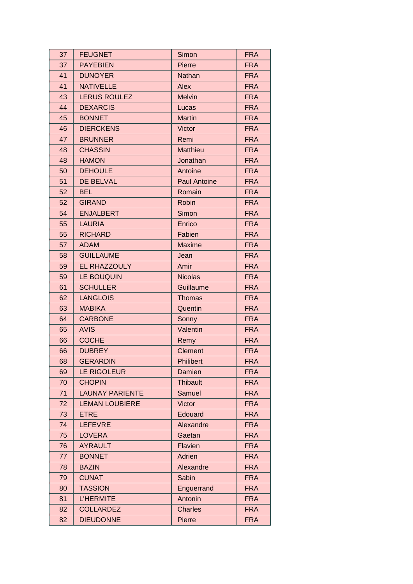| 37 | <b>FEUGNET</b>         | Simon               | <b>FRA</b> |
|----|------------------------|---------------------|------------|
| 37 | <b>PAYEBIEN</b>        | Pierre              | <b>FRA</b> |
| 41 | <b>DUNOYER</b>         | Nathan              | <b>FRA</b> |
| 41 | <b>NATIVELLE</b>       | Alex                | <b>FRA</b> |
| 43 | <b>LERUS ROULEZ</b>    | <b>Melvin</b>       | <b>FRA</b> |
| 44 | <b>DEXARCIS</b>        | Lucas               | <b>FRA</b> |
| 45 | <b>BONNET</b>          | <b>Martin</b>       | <b>FRA</b> |
| 46 | <b>DIERCKENS</b>       | Victor              | <b>FRA</b> |
| 47 | <b>BRUNNER</b>         | Remi                | <b>FRA</b> |
| 48 | <b>CHASSIN</b>         | <b>Matthieu</b>     | <b>FRA</b> |
| 48 | <b>HAMON</b>           | Jonathan            | <b>FRA</b> |
| 50 | <b>DEHOULE</b>         | Antoine             | <b>FRA</b> |
| 51 | <b>DE BELVAL</b>       | <b>Paul Antoine</b> | <b>FRA</b> |
| 52 | <b>BEL</b>             | Romain              | <b>FRA</b> |
| 52 | <b>GIRAND</b>          | Robin               | <b>FRA</b> |
| 54 | <b>ENJALBERT</b>       | Simon               | <b>FRA</b> |
| 55 | <b>LAURIA</b>          | Enrico              | <b>FRA</b> |
| 55 | <b>RICHARD</b>         | Fabien              | <b>FRA</b> |
| 57 | <b>ADAM</b>            | <b>Maxime</b>       | <b>FRA</b> |
| 58 | <b>GUILLAUME</b>       | Jean                | <b>FRA</b> |
| 59 | EL RHAZZOULY           | Amir                | <b>FRA</b> |
| 59 | LE BOUQUIN             | <b>Nicolas</b>      | <b>FRA</b> |
| 61 | <b>SCHULLER</b>        | Guillaume           | <b>FRA</b> |
| 62 | <b>LANGLOIS</b>        | <b>Thomas</b>       | <b>FRA</b> |
| 63 | <b>MABIKA</b>          | Quentin             | <b>FRA</b> |
| 64 | <b>CARBONE</b>         | Sonny               | <b>FRA</b> |
| 65 | <b>AVIS</b>            | Valentin            | <b>FRA</b> |
| 66 | <b>COCHE</b>           | Remy                | <b>FRA</b> |
| 66 | <b>DUBREY</b>          | <b>Clement</b>      | <b>FRA</b> |
| 68 | <b>GERARDIN</b>        | Philibert           | <b>FRA</b> |
| 69 | LE RIGOLEUR            | Damien              | <b>FRA</b> |
| 70 | <b>CHOPIN</b>          | <b>Thibault</b>     | <b>FRA</b> |
| 71 | <b>LAUNAY PARIENTE</b> | Samuel              | <b>FRA</b> |
| 72 | <b>LEMAN LOUBIERE</b>  | Victor              | <b>FRA</b> |
| 73 | <b>ETRE</b>            | Edouard             | <b>FRA</b> |
| 74 | <b>LEFEVRE</b>         | Alexandre           | <b>FRA</b> |
| 75 | <b>LOVERA</b>          | Gaetan              | <b>FRA</b> |
| 76 | <b>AYRAULT</b>         | Flavien             | <b>FRA</b> |
| 77 | <b>BONNET</b>          | Adrien              | <b>FRA</b> |
| 78 | <b>BAZIN</b>           | Alexandre           | <b>FRA</b> |
| 79 | <b>CUNAT</b>           | Sabin               | <b>FRA</b> |
| 80 | <b>TASSION</b>         | Enguerrand          | <b>FRA</b> |
| 81 | <b>L'HERMITE</b>       | Antonin             | <b>FRA</b> |
| 82 | <b>COLLARDEZ</b>       | <b>Charles</b>      | <b>FRA</b> |
| 82 | <b>DIEUDONNE</b>       | Pierre              | <b>FRA</b> |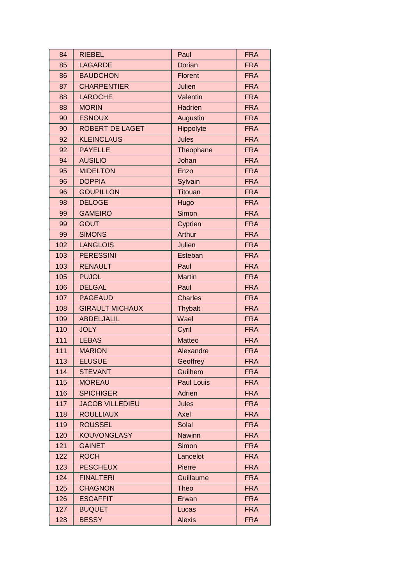| 84  | <b>RIEBEL</b>          | Paul              | <b>FRA</b> |
|-----|------------------------|-------------------|------------|
| 85  | <b>LAGARDE</b>         | Dorian            | <b>FRA</b> |
| 86  | <b>BAUDCHON</b>        | Florent           | <b>FRA</b> |
| 87  | <b>CHARPENTIER</b>     | Julien            | <b>FRA</b> |
| 88  | <b>LAROCHE</b>         | Valentin          | <b>FRA</b> |
| 88  | <b>MORIN</b>           | Hadrien           | <b>FRA</b> |
| 90  | <b>ESNOUX</b>          | Augustin          | <b>FRA</b> |
| 90  | <b>ROBERT DE LAGET</b> | Hippolyte         | <b>FRA</b> |
| 92  | <b>KLEINCLAUS</b>      | Jules             | <b>FRA</b> |
| 92  | <b>PAYELLE</b>         | Theophane         | <b>FRA</b> |
| 94  | <b>AUSILIO</b>         | Johan             | <b>FRA</b> |
| 95  | <b>MIDELTON</b>        | Enzo              | <b>FRA</b> |
| 96  | <b>DOPPIA</b>          | Sylvain           | <b>FRA</b> |
| 96  | <b>GOUPILLON</b>       | <b>Titouan</b>    | <b>FRA</b> |
| 98  | <b>DELOGE</b>          | Hugo              | <b>FRA</b> |
| 99  | <b>GAMEIRO</b>         | Simon             | <b>FRA</b> |
| 99  | <b>GOUT</b>            | Cyprien           | <b>FRA</b> |
| 99  | <b>SIMONS</b>          | Arthur            | <b>FRA</b> |
| 102 | <b>LANGLOIS</b>        | Julien            | <b>FRA</b> |
| 103 | <b>PERESSINI</b>       | Esteban           | <b>FRA</b> |
| 103 | <b>RENAULT</b>         | Paul              | <b>FRA</b> |
| 105 | <b>PUJOL</b>           | <b>Martin</b>     | <b>FRA</b> |
| 106 | <b>DELGAL</b>          | Paul              | <b>FRA</b> |
| 107 | <b>PAGEAUD</b>         | <b>Charles</b>    | <b>FRA</b> |
| 108 | <b>GIRAULT MICHAUX</b> | <b>Thybalt</b>    | <b>FRA</b> |
| 109 | <b>ABDELJALIL</b>      | Wael              | <b>FRA</b> |
| 110 | <b>JOLY</b>            | Cyril             | <b>FRA</b> |
| 111 | <b>LEBAS</b>           | <b>Matteo</b>     | <b>FRA</b> |
| 111 | <b>MARION</b>          | Alexandre         | <b>FRA</b> |
| 113 | <b>ELUSUE</b>          | Geoffrey          | FRA        |
| 114 | <b>STEVANT</b>         | <b>Guilhem</b>    | <b>FRA</b> |
| 115 | <b>MOREAU</b>          | <b>Paul Louis</b> | <b>FRA</b> |
| 116 | <b>SPICHIGER</b>       | Adrien            | <b>FRA</b> |
| 117 | <b>JACOB VILLEDIEU</b> | <b>Jules</b>      | <b>FRA</b> |
| 118 | <b>ROULLIAUX</b>       | Axel              | <b>FRA</b> |
| 119 | <b>ROUSSEL</b>         | Solal             | <b>FRA</b> |
| 120 | <b>KOUVONGLASY</b>     | <b>Nawinn</b>     | <b>FRA</b> |
| 121 | <b>GAINET</b>          | Simon             | <b>FRA</b> |
| 122 | <b>ROCH</b>            | Lancelot          | <b>FRA</b> |
| 123 | <b>PESCHEUX</b>        | Pierre            | <b>FRA</b> |
| 124 | <b>FINALTERI</b>       | Guillaume         | <b>FRA</b> |
| 125 | <b>CHAGNON</b>         | <b>Theo</b>       | <b>FRA</b> |
| 126 | <b>ESCAFFIT</b>        | Erwan             | <b>FRA</b> |
| 127 | <b>BUQUET</b>          | Lucas             | <b>FRA</b> |
| 128 | <b>BESSY</b>           | <b>Alexis</b>     | <b>FRA</b> |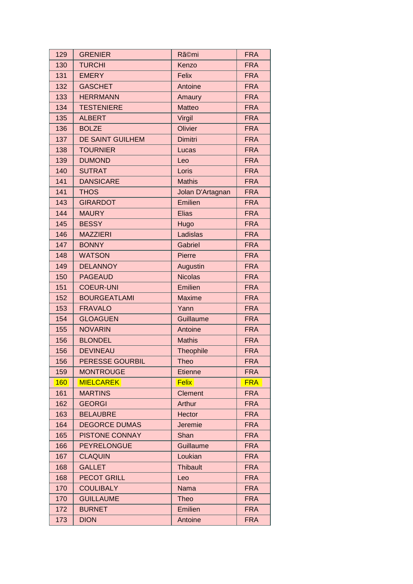| 129 | <b>GRENIER</b>         | Rã©mi            | <b>FRA</b> |
|-----|------------------------|------------------|------------|
| 130 | <b>TURCHI</b>          | Kenzo            | <b>FRA</b> |
| 131 | <b>EMERY</b>           | <b>Felix</b>     | <b>FRA</b> |
| 132 | <b>GASCHET</b>         | Antoine          | <b>FRA</b> |
| 133 | <b>HERRMANN</b>        | Amaury           | <b>FRA</b> |
| 134 | <b>TESTENIERE</b>      | <b>Matteo</b>    | <b>FRA</b> |
| 135 | <b>ALBERT</b>          | Virgil           | <b>FRA</b> |
| 136 | <b>BOLZE</b>           | Olivier          | <b>FRA</b> |
| 137 | DE SAINT GUILHEM       | Dimitri          | <b>FRA</b> |
| 138 | <b>TOURNIER</b>        | Lucas            | <b>FRA</b> |
| 139 | <b>DUMOND</b>          | Leo              | <b>FRA</b> |
| 140 | <b>SUTRAT</b>          | Loris            | <b>FRA</b> |
| 141 | <b>DANSICARE</b>       | <b>Mathis</b>    | <b>FRA</b> |
| 141 | <b>THOS</b>            | Jolan D'Artagnan | <b>FRA</b> |
| 143 | <b>GIRARDOT</b>        | Emilien          | <b>FRA</b> |
| 144 | <b>MAURY</b>           | <b>Elias</b>     | <b>FRA</b> |
| 145 | <b>BESSY</b>           | Hugo             | <b>FRA</b> |
| 146 | <b>MAZZIERI</b>        | Ladislas         | <b>FRA</b> |
| 147 | <b>BONNY</b>           | Gabriel          | <b>FRA</b> |
| 148 | <b>WATSON</b>          | Pierre           | <b>FRA</b> |
| 149 | <b>DELANNOY</b>        | Augustin         | <b>FRA</b> |
| 150 | <b>PAGEAUD</b>         | <b>Nicolas</b>   | <b>FRA</b> |
| 151 | <b>COEUR-UNI</b>       | Emilien          | <b>FRA</b> |
| 152 | <b>BOURGEATLAMI</b>    | <b>Maxime</b>    | <b>FRA</b> |
| 153 | <b>FRAVALO</b>         | Yann             | <b>FRA</b> |
| 154 | <b>GLOAGUEN</b>        | Guillaume        | <b>FRA</b> |
| 155 | <b>NOVARIN</b>         | Antoine          | <b>FRA</b> |
| 156 | <b>BLONDEL</b>         | <b>Mathis</b>    | <b>FRA</b> |
| 156 | <b>DEVINEAU</b>        | Theophile        | <b>FRA</b> |
| 156 | <b>PERESSE GOURBIL</b> | <b>Theo</b>      | <b>FRA</b> |
| 159 | <b>MONTROUGE</b>       | <b>Etienne</b>   | <b>FRA</b> |
| 160 | <b>MIELCAREK</b>       | <b>Felix</b>     | <b>FRA</b> |
| 161 | <b>MARTINS</b>         | <b>Clement</b>   | <b>FRA</b> |
| 162 | <b>GEORGI</b>          | <b>Arthur</b>    | <b>FRA</b> |
| 163 | <b>BELAUBRE</b>        | <b>Hector</b>    | <b>FRA</b> |
| 164 | <b>DEGORCE DUMAS</b>   | Jeremie          | <b>FRA</b> |
| 165 | <b>PISTONE CONNAY</b>  | Shan             | <b>FRA</b> |
| 166 | <b>PEYRELONGUE</b>     | Guillaume        | <b>FRA</b> |
| 167 | <b>CLAQUIN</b>         | Loukian          | <b>FRA</b> |
| 168 | <b>GALLET</b>          | <b>Thibault</b>  | <b>FRA</b> |
| 168 | <b>PECOT GRILL</b>     | Leo              | <b>FRA</b> |
| 170 | <b>COULIBALY</b>       | Nama             | <b>FRA</b> |
| 170 | <b>GUILLAUME</b>       | Theo             | <b>FRA</b> |
| 172 | <b>BURNET</b>          | Emilien          | <b>FRA</b> |
| 173 | <b>DION</b>            | Antoine          | <b>FRA</b> |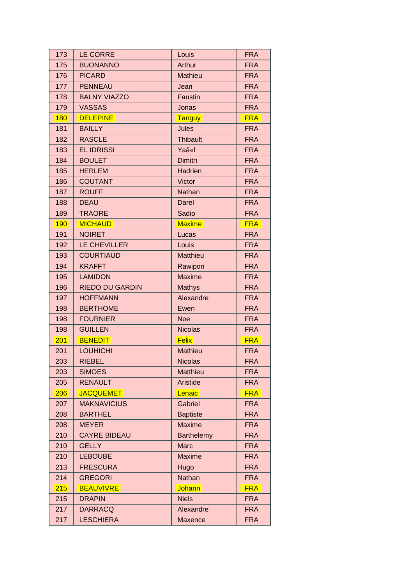| 173        | <b>LE CORRE</b>        | Louis             | <b>FRA</b> |
|------------|------------------------|-------------------|------------|
| 175        | <b>BUONANNO</b>        | Arthur            | <b>FRA</b> |
| 176        | <b>PICARD</b>          | <b>Mathieu</b>    | <b>FRA</b> |
| 177        | <b>PENNEAU</b>         | Jean              | <b>FRA</b> |
| 178        | <b>BALNY VIAZZO</b>    | <b>Faustin</b>    | <b>FRA</b> |
| 179        | <b>VASSAS</b>          | Jonas             | <b>FRA</b> |
| 180        | <b>DELEPINE</b>        | Tanguy            | <b>FRA</b> |
| 181        | <b>BAILLY</b>          | Jules             | <b>FRA</b> |
| 182        | <b>RASCLE</b>          | <b>Thibault</b>   | <b>FRA</b> |
| 183        | <b>EL IDRISSI</b>      | Yaã«I             | <b>FRA</b> |
| 184        | <b>BOULET</b>          | Dimitri           | <b>FRA</b> |
| 185        | <b>HERLEM</b>          | Hadrien           | <b>FRA</b> |
| 186        | <b>COUTANT</b>         | Victor            | <b>FRA</b> |
| 187        | <b>ROUFF</b>           | Nathan            | <b>FRA</b> |
| 188        | <b>DEAU</b>            | <b>Darel</b>      | <b>FRA</b> |
| 189        | <b>TRAORE</b>          | Sadio             | <b>FRA</b> |
| <b>190</b> | <b>MICHAUD</b>         | <b>Maxime</b>     | <b>FRA</b> |
| 191        | <b>NOIRET</b>          | Lucas             | <b>FRA</b> |
| 192        | LE CHEVILLER           | Louis             | <b>FRA</b> |
| 193        | <b>COURTIAUD</b>       | Matthieu          | <b>FRA</b> |
| 194        | <b>KRAFFT</b>          | Rawipon           | <b>FRA</b> |
| 195        | <b>LAMIDON</b>         | <b>Maxime</b>     | <b>FRA</b> |
| 196        | <b>RIEDO DU GARDIN</b> | Mathys            | <b>FRA</b> |
| 197        | <b>HOFFMANN</b>        | Alexandre         | <b>FRA</b> |
| 198        | <b>BERTHOME</b>        | Ewen              | <b>FRA</b> |
| 198        | <b>FOURNIER</b>        | <b>Noe</b>        | <b>FRA</b> |
| 198        | <b>GUILLEN</b>         | <b>Nicolas</b>    | <b>FRA</b> |
| 201        | <b>BENEDIT</b>         | <b>Felix</b>      | <b>FRA</b> |
| 201        | <b>LOUHICHI</b>        | Mathieu           | <b>FRA</b> |
| 203        | <b>RIEBEL</b>          | <b>Nicolas</b>    | <b>FRA</b> |
| 203        | <b>SIMOES</b>          | <b>Matthieu</b>   | <b>FRA</b> |
| 205        | <b>RENAULT</b>         | Aristide          | <b>FRA</b> |
| 206        | <b>JACQUEMET</b>       | Lenaic            | <b>FRA</b> |
| 207        | <b>MAKNAVICIUS</b>     | Gabriel           | <b>FRA</b> |
| 208        | <b>BARTHEL</b>         | <b>Baptiste</b>   | <b>FRA</b> |
| 208        | <b>MEYER</b>           | <b>Maxime</b>     | <b>FRA</b> |
| 210        | <b>CAYRE BIDEAU</b>    | <b>Barthelemy</b> | <b>FRA</b> |
| 210        | <b>GELLY</b>           | <b>Marc</b>       | <b>FRA</b> |
| 210        | <b>LEBOUBE</b>         | <b>Maxime</b>     | <b>FRA</b> |
| 213        | <b>FRESCURA</b>        | Hugo              | <b>FRA</b> |
| 214        | <b>GREGORI</b>         | Nathan            | <b>FRA</b> |
| 215        | <b>BEAUVIVRE</b>       | Johann            | <b>FRA</b> |
| 215        | <b>DRAPIN</b>          | <b>Niels</b>      | <b>FRA</b> |
| 217        | <b>DARRACQ</b>         | Alexandre         | <b>FRA</b> |
| 217        | <b>LESCHIERA</b>       | <b>Maxence</b>    | <b>FRA</b> |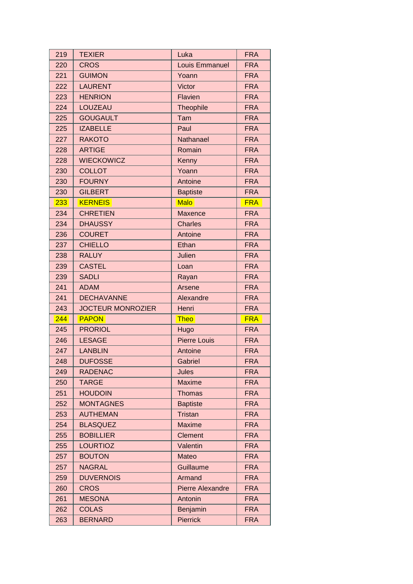| 219 | <b>TEXIER</b>            | Luka                    | <b>FRA</b> |
|-----|--------------------------|-------------------------|------------|
| 220 | <b>CROS</b>              | <b>Louis Emmanuel</b>   | <b>FRA</b> |
| 221 | <b>GUIMON</b>            | Yoann                   | <b>FRA</b> |
| 222 | <b>LAURENT</b>           | <b>Victor</b>           | <b>FRA</b> |
| 223 | <b>HENRION</b>           | Flavien                 | <b>FRA</b> |
| 224 | <b>LOUZEAU</b>           | Theophile               | <b>FRA</b> |
| 225 | <b>GOUGAULT</b>          | Tam                     | <b>FRA</b> |
| 225 | <b>IZABELLE</b>          | Paul                    | <b>FRA</b> |
| 227 | <b>RAKOTO</b>            | Nathanael               | <b>FRA</b> |
| 228 | <b>ARTIGE</b>            | Romain                  | <b>FRA</b> |
| 228 | <b>WIECKOWICZ</b>        | Kenny                   | <b>FRA</b> |
| 230 | <b>COLLOT</b>            | Yoann                   | <b>FRA</b> |
| 230 | <b>FOURNY</b>            | Antoine                 | <b>FRA</b> |
| 230 | <b>GILBERT</b>           | <b>Baptiste</b>         | <b>FRA</b> |
| 233 | <b>KERNEIS</b>           | <b>Malo</b>             | <b>FRA</b> |
| 234 | <b>CHRETIEN</b>          | Maxence                 | <b>FRA</b> |
| 234 | <b>DHAUSSY</b>           | <b>Charles</b>          | <b>FRA</b> |
| 236 | <b>COURET</b>            | Antoine                 | <b>FRA</b> |
| 237 | <b>CHIELLO</b>           | Ethan                   | <b>FRA</b> |
| 238 | <b>RALUY</b>             | Julien                  | <b>FRA</b> |
| 239 | <b>CASTEL</b>            | Loan                    | <b>FRA</b> |
| 239 | <b>SADLI</b>             | Rayan                   | <b>FRA</b> |
| 241 | <b>ADAM</b>              | Arsene                  | <b>FRA</b> |
| 241 | <b>DECHAVANNE</b>        | Alexandre               | <b>FRA</b> |
|     |                          |                         |            |
| 243 | <b>JOCTEUR MONROZIER</b> | Henri                   | <b>FRA</b> |
| 244 | <b>PAPON</b>             | <b>Theo</b>             | <b>FRA</b> |
| 245 | <b>PRORIOL</b>           | Hugo                    | <b>FRA</b> |
| 246 | <b>LESAGE</b>            | <b>Pierre Louis</b>     | <b>FRA</b> |
| 247 | <b>LANBLIN</b>           | Antoine                 | <b>FRA</b> |
| 248 | <b>DUFOSSE</b>           | Gabriel                 | FRA        |
| 249 | <b>RADENAC</b>           | <b>Jules</b>            | <b>FRA</b> |
| 250 | <b>TARGE</b>             | <b>Maxime</b>           | <b>FRA</b> |
| 251 | <b>HOUDOIN</b>           | <b>Thomas</b>           | <b>FRA</b> |
| 252 | <b>MONTAGNES</b>         | <b>Baptiste</b>         | <b>FRA</b> |
| 253 | <b>AUTHEMAN</b>          | <b>Tristan</b>          | <b>FRA</b> |
| 254 | <b>BLASQUEZ</b>          | <b>Maxime</b>           | <b>FRA</b> |
| 255 | <b>BOBILLIER</b>         | <b>Clement</b>          | <b>FRA</b> |
| 255 | <b>LOURTIOZ</b>          | Valentin                | <b>FRA</b> |
| 257 | <b>BOUTON</b>            | Mateo                   | <b>FRA</b> |
| 257 | <b>NAGRAL</b>            | Guillaume               | <b>FRA</b> |
| 259 | <b>DUVERNOIS</b>         | Armand                  | <b>FRA</b> |
| 260 | <b>CROS</b>              | <b>Pierre Alexandre</b> | <b>FRA</b> |
| 261 | <b>MESONA</b>            | Antonin                 | <b>FRA</b> |
| 262 | <b>COLAS</b>             | Benjamin                | <b>FRA</b> |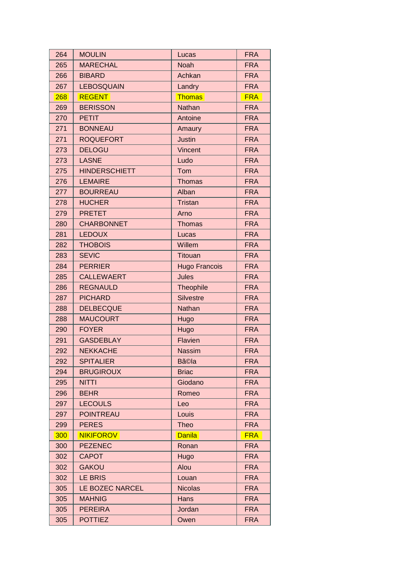| 264 | <b>MOULIN</b>        | Lucas                | <b>FRA</b> |
|-----|----------------------|----------------------|------------|
| 265 | <b>MARECHAL</b>      | <b>Noah</b>          | <b>FRA</b> |
| 266 | <b>BIBARD</b>        | Achkan               | <b>FRA</b> |
| 267 | <b>LEBOSQUAIN</b>    | Landry               | <b>FRA</b> |
| 268 | <b>REGENT</b>        | <b>Thomas</b>        | <b>FRA</b> |
| 269 | <b>BERISSON</b>      | Nathan               | <b>FRA</b> |
| 270 | <b>PETIT</b>         | Antoine              | <b>FRA</b> |
| 271 | <b>BONNEAU</b>       | Amaury               | <b>FRA</b> |
| 271 | <b>ROQUEFORT</b>     | <b>Justin</b>        | <b>FRA</b> |
| 273 | <b>DELOGU</b>        | Vincent              | <b>FRA</b> |
| 273 | <b>LASNE</b>         | Ludo                 | <b>FRA</b> |
| 275 | <b>HINDERSCHIETT</b> | Tom                  | <b>FRA</b> |
| 276 | <b>LEMAIRE</b>       | <b>Thomas</b>        | <b>FRA</b> |
| 277 | <b>BOURREAU</b>      | Alban                | <b>FRA</b> |
| 278 | <b>HUCHER</b>        | <b>Tristan</b>       | <b>FRA</b> |
| 279 | <b>PRETET</b>        | Arno                 | <b>FRA</b> |
| 280 | <b>CHARBONNET</b>    | <b>Thomas</b>        | <b>FRA</b> |
| 281 | <b>LEDOUX</b>        | Lucas                | <b>FRA</b> |
| 282 | <b>THOBOIS</b>       | Willem               | <b>FRA</b> |
| 283 | <b>SEVIC</b>         | <b>Titouan</b>       | <b>FRA</b> |
| 284 | <b>PERRIER</b>       | <b>Hugo Francois</b> | <b>FRA</b> |
| 285 | <b>CALLEWAERT</b>    | <b>Jules</b>         | <b>FRA</b> |
| 286 | <b>REGNAULD</b>      | Theophile            | <b>FRA</b> |
| 287 | <b>PICHARD</b>       | <b>Silvestre</b>     | <b>FRA</b> |
| 288 | <b>DELBECQUE</b>     | Nathan               | <b>FRA</b> |
| 288 | <b>MAUCOURT</b>      | Hugo                 | <b>FRA</b> |
| 290 | <b>FOYER</b>         | Hugo                 | <b>FRA</b> |
| 291 | <b>GASDEBLAY</b>     | Flavien              | <b>FRA</b> |
| 292 | <b>NEKKACHE</b>      | <b>Nassim</b>        | <b>FRA</b> |
| 292 | <b>SPITALIER</b>     | <b>Bã©la</b>         | FRA        |
| 294 | <b>BRUGIROUX</b>     | <b>Briac</b>         | <b>FRA</b> |
| 295 | <b>NITTI</b>         | Giodano              | <b>FRA</b> |
| 296 | <b>BEHR</b>          | Romeo                | <b>FRA</b> |
| 297 | <b>LECOULS</b>       | Leo                  | <b>FRA</b> |
| 297 | <b>POINTREAU</b>     | Louis                | <b>FRA</b> |
| 299 | <b>PERES</b>         | <b>Theo</b>          | <b>FRA</b> |
| 300 | <b>NIKIFOROV</b>     | <b>Danila</b>        | <b>FRA</b> |
| 300 | <b>PEZENEC</b>       | Ronan                | <b>FRA</b> |
| 302 | <b>CAPOT</b>         | Hugo                 | <b>FRA</b> |
| 302 | <b>GAKOU</b>         | Alou                 | <b>FRA</b> |
| 302 | <b>LE BRIS</b>       | Louan                | <b>FRA</b> |
| 305 | LE BOZEC NARCEL      | <b>Nicolas</b>       | <b>FRA</b> |
| 305 | <b>MAHNIG</b>        | Hans                 | <b>FRA</b> |
| 305 | <b>PEREIRA</b>       | Jordan               | <b>FRA</b> |
| 305 | <b>POTTIEZ</b>       | Owen                 | <b>FRA</b> |